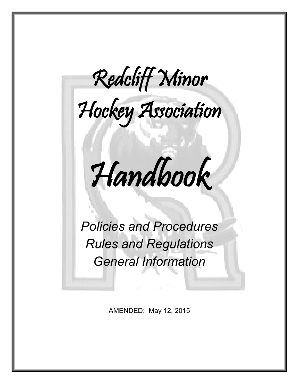Redcliff Minor



Í Handbook

*Policies and Procedures Rules and Regulations General Information*

AMENDED: May 12, 2015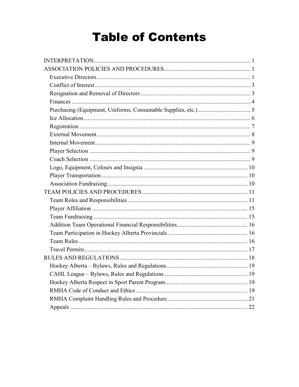# **Table of Contents**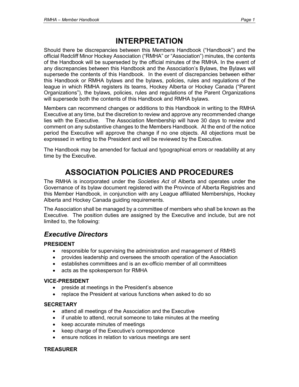## **INTERPRETATION**

Should there be discrepancies between this Members Handbook ("Handbook") and the official Redcliff Minor Hockey Association ("RMHA" or "Association") minutes, the contents of the Handbook will be superseded by the official minutes of the RMHA. In the event of any discrepancies between this Handbook and the Association's Bylaws, the Bylaws will supersede the contents of this Handbook. In the event of discrepancies between either this Handbook or RMHA bylaws and the bylaws, policies, rules and regulations of the league in which RMHA registers its teams, Hockey Alberta or Hockey Canada ("Parent Organizations"), the bylaws, policies, rules and regulations of the Parent Organizations will supersede both the contents of this Handbook and RMHA bylaws.

Members can recommend changes or additions to this Handbook in writing to the RMHA Executive at any time, but the discretion to review and approve any recommended change lies with the Executive. The Association Membership will have 30 days to review and comment on any substantive changes to the Members Handbook. At the end of the notice period the Executive will approve the change if no one objects. All objections must be expressed in writing to the President and will be reviewed by the Executive.

The Handbook may be amended for factual and typographical errors or readability at any time by the Executive.

## **ASSOCIATION POLICIES AND PROCEDURES**

The RMHA is incorporated under the *Societies Act* of Alberta and operates under the Governance of its bylaw document registered with the Province of Alberta Registries and this Member Handbook, in conjunction with any League affiliated Memberships, Hockey Alberta and Hockey Canada guiding requirements.

The Association shall be managed by a committee of members who shall be known as the Executive. The position duties are assigned by the Executive and include, but are not limited to, the following:

## *Executive Directors*

#### **PRESIDENT**

- responsible for supervising the administration and management of RMHS
- provides leadership and oversees the smooth operation of the Association
- establishes committees and is an ex-officio member of all committees
- acts as the spokesperson for RMHA

#### **VICE-PRESIDENT**

- preside at meetings in the President's absence
- replace the President at various functions when asked to do so

#### **SECRETARY**

- attend all meetings of the Association and the Executive
- if unable to attend, recruit someone to take minutes at the meeting
- keep accurate minutes of meetings
- keep charge of the Executive's correspondence
- ensure notices in relation to various meetings are sent

#### **TREASURER**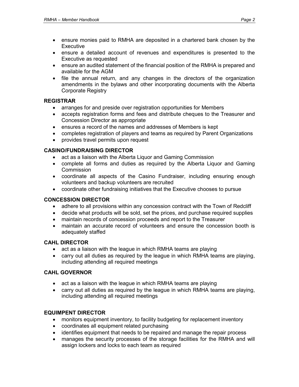- ensure monies paid to RMHA are deposited in a chartered bank chosen by the **Executive**
- ensure a detailed account of revenues and expenditures is presented to the Executive as requested
- ensure an audited statement of the financial position of the RMHA is prepared and available for the AGM
- file the annual return, and any changes in the directors of the organization amendments in the bylaws and other incorporating documents with the Alberta Corporate Registry

#### **REGISTRAR**

- arranges for and preside over registration opportunities for Members
- accepts registration forms and fees and distribute cheques to the Treasurer and Concession Director as appropriate
- ensures a record of the names and addresses of Members is kept
- completes registration of players and teams as required by Parent Organizations
- provides travel permits upon request

#### **CASINO/FUNDRAISING DIRECTOR**

- act as a liaison with the Alberta Liquor and Gaming Commission
- complete all forms and duties as required by the Alberta Liquor and Gaming Commission
- coordinate all aspects of the Casino Fundraiser, including ensuring enough volunteers and backup volunteers are recruited
- coordinate other fundraising initiatives that the Executive chooses to pursue

#### **CONCESSION DIRECTOR**

- adhere to all provisions within any concession contract with the Town of Redcliff
- decide what products will be sold, set the prices, and purchase required supplies
- maintain records of concession proceeds and report to the Treasurer
- maintain an accurate record of volunteers and ensure the concession booth is adequately staffed

#### **CAHL DIRECTOR**

- act as a liaison with the league in which RMHA teams are playing
- carry out all duties as required by the league in which RMHA teams are playing, including attending all required meetings

#### **CAHL GOVERNOR**

- act as a liaison with the league in which RMHA teams are playing
- carry out all duties as required by the league in which RMHA teams are playing, including attending all required meetings

#### **EQUIMPENT DIRECTOR**

- monitors equipment inventory, to facility budgeting for replacement inventory
- coordinates all equipment related purchasing
- identifies equipment that needs to be repaired and manage the repair process
- manages the security processes of the storage facilities for the RMHA and will assign lockers and locks to each team as required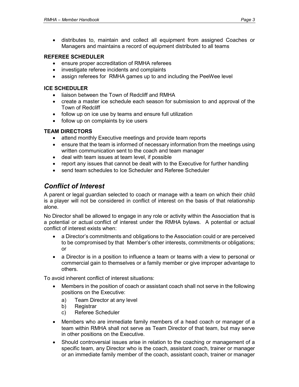• distributes to, maintain and collect all equipment from assigned Coaches or Managers and maintains a record of equipment distributed to all teams

#### **REFEREE SCHEDULER**

- ensure proper accreditation of RMHA referees
- investigate referee incidents and complaints
- assign referees for RMHA games up to and including the PeeWee level

#### **ICE SCHEDULER**

- liaison between the Town of Redcliff and RMHA
- create a master ice schedule each season for submission to and approval of the Town of Redcliff
- follow up on ice use by teams and ensure full utilization
- follow up on complaints by ice users

#### **TEAM DIRECTORS**

- attend monthly Executive meetings and provide team reports
- ensure that the team is informed of necessary information from the meetings using written communication sent to the coach and team manager
- deal with team issues at team level, if possible
- report any issues that cannot be dealt with to the Executive for further handling
- send team schedules to Ice Scheduler and Referee Scheduler

## *Conflict of Interest*

A parent or legal guardian selected to coach or manage with a team on which their child is a player will not be considered in conflict of interest on the basis of that relationship alone.

No Director shall be allowed to engage in any role or activity within the Association that is a potential or actual conflict of interest under the RMHA bylaws. A potential or actual conflict of interest exists when:

- a Director's commitments and obligations to the Association could or are perceived to be compromised by that Member's other interests, commitments or obligations; or
- a Director is in a position to influence a team or teams with a view to personal or commercial gain to themselves or a family member or give improper advantage to others.

To avoid inherent conflict of interest situations:

- Members in the position of coach or assistant coach shall not serve in the following positions on the Executive:
	- a) Team Director at any level
	- b) Registrar
	- c) Referee Scheduler
- Members who are immediate family members of a head coach or manager of a team within RMHA shall not serve as Team Director of that team, but may serve in other positions on the Executive.
- Should controversial issues arise in relation to the coaching or management of a specific team, any Director who is the coach, assistant coach, trainer or manager or an immediate family member of the coach, assistant coach, trainer or manager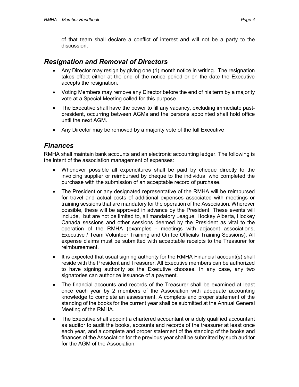of that team shall declare a conflict of interest and will not be a party to the discussion.

#### *Resignation and Removal of Directors*

- Any Director may resign by giving one (1) month notice in writing. The resignation takes effect either at the end of the notice period or on the date the Executive accepts the resignation.
- Voting Members may remove any Director before the end of his term by a majority vote at a Special Meeting called for this purpose.
- The Executive shall have the power to fill any vacancy, excluding immediate pastpresident, occurring between AGMs and the persons appointed shall hold office until the next AGM.
- Any Director may be removed by a majority vote of the full Executive

### *Finances*

RMHA shall maintain bank accounts and an electronic accounting ledger. The following is the intent of the association management of expenses:

- Whenever possible all expenditures shall be paid by cheque directly to the invoicing supplier or reimbursed by cheque to the individual who completed the purchase with the submission of an acceptable record of purchase.
- The President or any designated representative of the RMHA will be reimbursed for travel and actual costs of additional expenses associated with meetings or training sessions that are mandatory for the operation of the Association. Wherever possible, these will be approved in advance by the President. These events will include, but are not be limited to, all mandatory League, Hockey Alberta, Hockey Canada sessions and other sessions deemed by the President as vital to the operation of the RMHA (examples - meetings with adjacent associations, Executive / Team Volunteer Training and On Ice Officials Training Sessions). All expense claims must be submitted with acceptable receipts to the Treasurer for reimbursement.
- It is expected that usual signing authority for the RMHA Financial account(s) shall reside with the President and Treasurer. All Executive members can be authorized to have signing authority as the Executive chooses. In any case, any two signatories can authorize issuance of a payment.
- The financial accounts and records of the Treasurer shall be examined at least once each year by 2 members of the Association with adequate accounting knowledge to complete an assessment. A complete and proper statement of the standing of the books for the current year shall be submitted at the Annual General Meeting of the RMHA.
- The Executive shall appoint a chartered accountant or a duly qualified accountant as auditor to audit the books, accounts and records of the treasurer at least once each year, and a complete and proper statement of the standing of the books and finances of the Association for the previous year shall be submitted by such auditor for the AGM of the Association.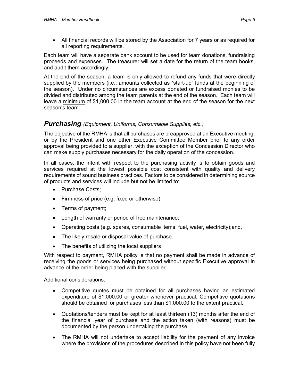• All financial records will be stored by the Association for 7 years or as required for all reporting requirements.

Each team will have a separate bank account to be used for team donations, fundraising proceeds and expenses. The treasurer will set a date for the return of the team books, and audit them accordingly.

At the end of the season, a team is only allowed to refund any funds that were directly supplied by the members (i.e., amounts collected as "start-up" funds at the beginning of the season). Under no circumstances are excess donated or fundraised monies to be divided and distributed among the team parents at the end of the season. Each team will leave a minimum of \$1,000.00 in the team account at the end of the season for the next season's team.

#### *Purchasing (Equipment, Uniforms, Consumable Supplies, etc.)*

The objective of the RMHA is that all purchases are preapproved at an Executive meeting, or by the President and one other Executive Committee Member prior to any order approval being provided to a supplier, with the exception of the Concession Director who can make supply purchases necessary for the daily operation of the concession.

In all cases, the intent with respect to the purchasing activity is to obtain goods and services required at the lowest possible cost consistent with quality and delivery requirements of sound business practices. Factors to be considered in determining source of products and services will include but not be limited to:

- Purchase Costs:
- Firmness of price (e.g. fixed or otherwise);
- Terms of payment;
- Length of warranty or period of free maintenance;
- Operating costs (e.g. spares, consumable items, fuel, water, electricity);and,
- The likely resale or disposal value of purchase.
- The benefits of utilizing the local suppliers

With respect to payment, RMHA policy is that no payment shall be made in advance of receiving the goods or services being purchased without specific Executive approval in advance of the order being placed with the supplier.

Additional considerations:

- Competitive quotes must be obtained for all purchases having an estimated expenditure of \$1,000.00 or greater whenever practical. Competitive quotations should be obtained for purchases less than \$1,000.00 to the extent practical.
- Quotations/tenders must be kept for at least thirteen (13) months after the end of the financial year of purchase and the action taken (with reasons) must be documented by the person undertaking the purchase.
- The RMHA will not undertake to accept liability for the payment of any invoice where the provisions of the procedures described in this policy have not been fully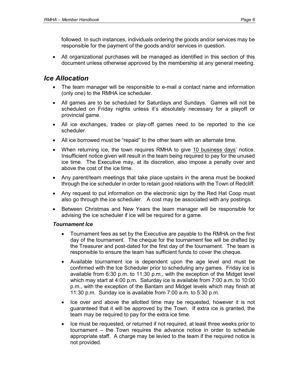followed. In such instances, individuals ordering the goods and/or services may be responsible for the payment of the goods and/or services in question.

• All organizational purchases will be managed as identified in this section of this document unless otherwise approved by the membership at any general meeting.

#### *Ice Allocation*

- The team manager will be responsible to e-mail a contact name and information (only one) to the RMHA ice scheduler.
- All games are to be scheduled for Saturdays and Sundays. Games will not be scheduled on Friday nights unless it's absolutely necessary for a playoff or provincial game.
- All ice exchanges, trades or play-off games need to be reported to the ice scheduler.
- All ice borrowed must be "repaid" to the other team with an alternate time.
- When returning ice, the town requires RMHA to give 10 business days' notice. Insufficient notice given will result in the team being required to pay for the unused ice time. The Executive may, at its discretion, also impose a penalty over and above the cost of the ice time.
- Any parent/team meetings that take place upstairs in the arena must be booked through the ice scheduler in order to retain good relations with the Town of Redcliff.
- Any request to put information on the electronic sign by the Red Hat Coop must also go through the ice scheduler. A cost may be associated with any postings.
- Between Christmas and New Years the team manager will be responsible for advising the ice scheduler if ice will be required for a game.

#### *Tournament Ice*

- Tournament fees as set by the Executive are payable to the RMHA on the first day of the tournament. The cheque for the tournament fee will be drafted by the Treasurer and post-dated for the first day of the tournament. The team is responsible to ensure the team has sufficient funds to cover the cheque.
- Available tournament ice is dependent upon the age level and must be confirmed with the Ice Scheduler prior to scheduling any games. Friday ice is available from 6:30 p.m. to 11:30 p.m., with the exception of the Midget level which may start at 4:00 p.m. Saturday ice is available from 7:00 a.m. to 10:00 p.m., with the exception of the Bantam and Midget levels which may finish at 11:30 p.m. Sunday ice is available from 7:00 a.m. to 5:30 p.m.
- Ice over and above the allotted time may be requested, however it is not guaranteed that it will be approved by the Town. If extra ice is granted, the team may be required to pay for the extra ice time.
- Ice must be requested, or returned if not required, at least three weeks prior to tournament – the Town requires the advance notice in order to schedule appropriate staff. A charge may be levied to the team if the required notice is not provided.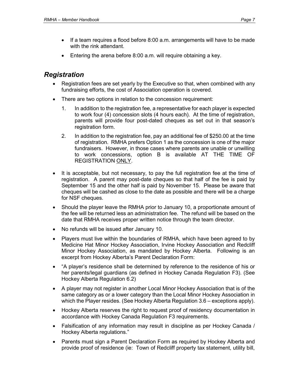- If a team requires a flood before 8:00 a.m. arrangements will have to be made with the rink attendant.
- Entering the arena before 8:00 a.m. will require obtaining a key.

## *Registration*

- Registration fees are set yearly by the Executive so that, when combined with any fundraising efforts, the cost of Association operation is covered.
- There are two options in relation to the concession requirement:
	- 1. In addition to the registration fee, a representative for each player is expected to work four (4) concession slots (4 hours each). At the time of registration, parents will provide four post-dated cheques as set out in that season's registration form.
	- 2. In addition to the registration fee, pay an additional fee of \$250.00 at the time of registration. RMHA prefers Option 1 as the concession is one of the major fundraisers. However, in those cases where parents are unable or unwilling to work concessions, option B is available AT THE TIME OF REGISTRATION ONLY.
- It is acceptable, but not necessary, to pay the full registration fee at the time of registration. A parent may post-date cheques so that half of the fee is paid by September 15 and the other half is paid by November 15. Please be aware that cheques will be cashed as close to the date as possible and there will be a charge for NSF cheques.
- Should the player leave the RMHA prior to January 10, a proportionate amount of the fee will be returned less an administration fee. The refund will be based on the date that RMHA receives proper written notice through the team director.
- No refunds will be issued after January 10.
- Players must live within the boundaries of RMHA, which have been agreed to by Medicine Hat Minor Hockey Association, Irvine Hockey Association and Redcliff Minor Hockey Association, as mandated by Hockey Alberta. Following is an excerpt from Hockey Alberta's Parent Declaration Form:
- "A player's residence shall be determined by reference to the residence of his or her parents/legal guardians (as defined in Hockey Canada Regulation F3). (See Hockey Alberta Regulation 6.2)
- A player may not register in another Local Minor Hockey Association that is of the same category as or a lower category than the Local Minor Hockey Association in which the Player resides. (See Hockey Alberta Regulation 3.6 – exceptions apply).
- Hockey Alberta reserves the right to request proof of residency documentation in accordance with Hockey Canada Regulation F3 requirements.
- Falsification of any information may result in discipline as per Hockey Canada / Hockey Alberta regulations."
- Parents must sign a Parent Declaration Form as required by Hockey Alberta and provide proof of residence (ie: Town of Redcliff property tax statement, utility bill,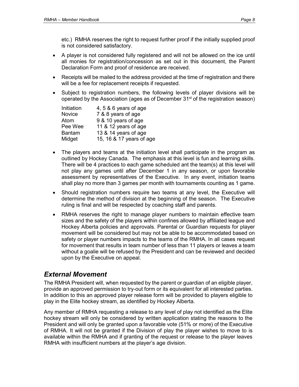etc.) RMHA reserves the right to request further proof if the initially supplied proof is not considered satisfactory.

- A player is not considered fully registered and will not be allowed on the ice until all monies for registration/concession as set out in this document, the Parent Declaration Form and proof of residence are received.
- Receipts will be mailed to the address provided at the time of registration and there will be a fee for replacement receipts if requested.
- Subject to registration numbers, the following levels of player divisions will be operated by the Association (ages as of December  $31<sup>st</sup>$  of the registration season)

| Initiation    | 4, 5 & 6 years of age    |
|---------------|--------------------------|
| Novice        | 7 & 8 years of age       |
| Atom          | 9 & 10 years of age      |
| Pee Wee       | 11 & 12 years of age     |
| <b>Bantam</b> | 13 & 14 years of age     |
| Midget        | 15, 16 & 17 years of age |

- The players and teams at the initiation level shall participate in the program as outlined by Hockey Canada. The emphasis at this level is fun and learning skills. There will be 4 practices to each game scheduled ant the team(s) at this level will not play any games until after December 1 in any season, or upon favorable assessment by representatives of the Executive. In any event, initiation teams shall play no more than 3 games per month with tournaments counting as 1 game.
- Should registration numbers require two teams at any level, the Executive will determine the method of division at the beginning of the season. The Executive ruling is final and will be respected by coaching staff and parents.
- RMHA reserves the right to manage player numbers to maintain effective team sizes and the safety of the players within confines allowed by affiliated league and Hockey Alberta policies and approvals. Parental or Guardian requests for player movement will be considered but may not be able to be accommodated based on safety or player numbers impacts to the teams of the RMHA. In all cases request for movement that results in team number of less than 11 players or leaves a team without a goalie will be refused by the President and can be reviewed and decided upon by the Executive on appeal.

## *External Movement*

The RMHA President will, when requested by the parent or guardian of an eligible player, provide an approved permission to try-out form or its equivalent for all interested parties. In addition to this an approved player release form will be provided to players eligible to play in the Elite hockey stream, as identified by Hockey Alberta.

Any member of RMHA requesting a release to any level of play not identified as the Elite hockey stream will only be considered by written application stating the reasons to the President and will only be granted upon a favorable vote (51% or more) of the Executive of RMHA. It will not be granted if the Division of play the player wishes to move to is available within the RMHA and if granting of the request or release to the player leaves RMHA with insufficient numbers at the player's age division.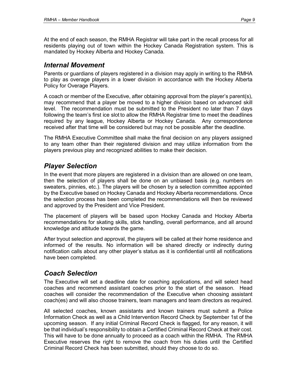At the end of each season, the RMHA Registrar will take part in the recall process for all residents playing out of town within the Hockey Canada Registration system. This is mandated by Hockey Alberta and Hockey Canada.

#### *Internal Movement*

Parents or guardians of players registered in a division may apply in writing to the RMHA to play as overage players in a lower division in accordance with the Hockey Alberta Policy for Overage Players.

A coach or member of the Executive, after obtaining approval from the player's parent(s), may recommend that a player be moved to a higher division based on advanced skill level. The recommendation must be submitted to the President no later than 7 days following the team's first ice slot to allow the RMHA Registrar time to meet the deadlines required by any league, Hockey Alberta or Hockey Canada. Any correspondence received after that time will be considered but may not be possible after the deadline.

The RMHA Executive Committee shall make the final decision on any players assigned to any team other than their registered division and may utilize information from the players previous play and recognized abilities to make their decision.

## *Player Selection*

In the event that more players are registered in a division than are allowed on one team, then the selection of players shall be done on an unbiased basis (e.g. numbers on sweaters, pinnies, etc.). The players will be chosen by a selection committee appointed by the Executive based on Hockey Canada and Hockey Alberta recommendations. Once the selection process has been completed the recommendations will then be reviewed and approved by the President and Vice President.

The placement of players will be based upon Hockey Canada and Hockey Alberta recommendations for skating skills, stick handling, overall performance, and all around knowledge and attitude towards the game.

After tryout selection and approval, the players will be called at their home residence and informed of the results. No information will be shared directly or indirectly during notification calls about any other player's status as it is confidential until all notifications have been completed.

## *Coach Selection*

The Executive will set a deadline date for coaching applications, and will select head coaches and recommend assistant coaches prior to the start of the season. Head coaches will consider the recommendation of the Executive when choosing assistant coach(es) and will also choose trainers, team managers and team directors as required.

All selected coaches, known assistants and known trainers must submit a Police Information Check as well as a Child Intervention Record Check by September 1st of the upcoming season. If any initial Criminal Record Check is flagged, for any reason, it will be that individual's responsibility to obtain a Certified Criminal Record Check at their cost. This will have to be done annually to proceed as a coach within the RMHA. The RMHA Executive reserves the right to remove the coach from his duties until the Certified Criminal Record Check has been submitted, should they choose to do so.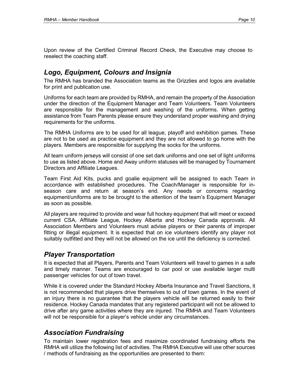Upon review of the Certified Criminal Record Check, the Executive may choose to reselect the coaching staff.

## *Logo, Equipment, Colours and Insignia*

The RMHA has branded the Association teams as the Grizzlies and logos are available for print and publication use.

Uniforms for each team are provided by RMHA, and remain the property of the Association under the direction of the Equipment Manager and Team Volunteers. Team Volunteers are responsible for the management and washing of the uniforms. When getting assistance from Team Parents please ensure they understand proper washing and drying requirements for the uniforms.

The RMHA Uniforms are to be used for all league, playoff and exhibition games. These are not to be used as practice equipment and they are not allowed to go home with the players. Members are responsible for supplying the socks for the uniforms.

All team uniform jerseys will consist of one set dark uniforms and one set of light uniforms to use as listed above. Home and Away uniform statuses will be managed by Tournament Directors and Affiliate Leagues.

Team First Aid Kits, pucks and goalie equipment will be assigned to each Team in accordance with established procedures. The Coach/Manager is responsible for inseason care and return at season's end. Any needs or concerns regarding equipment/uniforms are to be brought to the attention of the team's Equipment Manager as soon as possible.

All players are required to provide and wear full hockey equipment that will meet or exceed current CSA, Affiliate League, Hockey Alberta and Hockey Canada approvals. All Association Members and Volunteers must advise players or their parents of improper fitting or illegal equipment. It is expected that on ice volunteers identify any player not suitably outfitted and they will not be allowed on the ice until the deficiency is corrected.

## *Player Transportation*

It is expected that all Players, Parents and Team Volunteers will travel to games in a safe and timely manner. Teams are encouraged to car pool or use available larger multi passenger vehicles for out of town travel.

While it is covered under the Standard Hockey Alberta Insurance and Travel Sanctions, it is not recommended that players drive themselves to out of town games. In the event of an injury there is no guarantee that the players vehicle will be returned easily to their residence. Hockey Canada mandates that any registered participant will not be allowed to drive after any game activities where they are injured. The RMHA and Team Volunteers will not be responsible for a player's vehicle under any circumstances.

## *Association Fundraising*

To maintain lower registration fees and maximize coordinated fundraising efforts the RMHA will utilize the following list of activities. The RMHA Executive will use other sources / methods of fundraising as the opportunities are presented to them: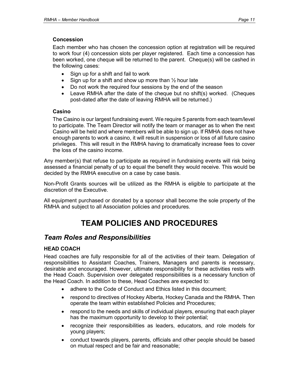#### **Concession**

Each member who has chosen the concession option at registration will be required to work four (4) concession slots per player registered. Each time a concession has been worked, one cheque will be returned to the parent. Cheque(s) will be cashed in the following cases:

- Sign up for a shift and fail to work
- Sign up for a shift and show up more than  $\frac{1}{2}$  hour late
- Do not work the required four sessions by the end of the season
- Leave RMHA after the date of the cheque but no shift(s) worked. (Cheques post-dated after the date of leaving RMHA will be returned.)

#### **Casino**

The Casino is our largest fundraising event. We require 5 parents from each team/level to participate. The Team Director will notify the team or manager as to when the next Casino will be held and where members will be able to sign up. If RMHA does not have enough parents to work a casino, it will result in suspension or loss of all future casino privileges. This will result in the RMHA having to dramatically increase fees to cover the loss of the casino income.

Any member(s) that refuse to participate as required in fundraising events will risk being assessed a financial penalty of up to equal the benefit they would receive. This would be decided by the RMHA executive on a case by case basis.

Non-Profit Grants sources will be utilized as the RMHA is eligible to participate at the discretion of the Executive.

All equipment purchased or donated by a sponsor shall become the sole property of the RMHA and subject to all Association policies and procedures.

## **TEAM POLICIES AND PROCEDURES**

## *Team Roles and Responsibilities*

#### **HEAD COACH**

Head coaches are fully responsible for all of the activities of their team. Delegation of responsibilities to Assistant Coaches, Trainers, Managers and parents is necessary, desirable and encouraged. However, ultimate responsibility for these activities rests with the Head Coach. Supervision over delegated responsibilities is a necessary function of the Head Coach. In addition to these, Head Coaches are expected to:

- adhere to the Code of Conduct and Ethics listed in this document:
- respond to directives of Hockey Alberta, Hockey Canada and the RMHA. Then operate the team within established Policies and Procedures;
- respond to the needs and skills of individual players, ensuring that each player has the maximum opportunity to develop to their potential;
- recognize their responsibilities as leaders, educators, and role models for young players;
- conduct towards players, parents, officials and other people should be based on mutual respect and be fair and reasonable;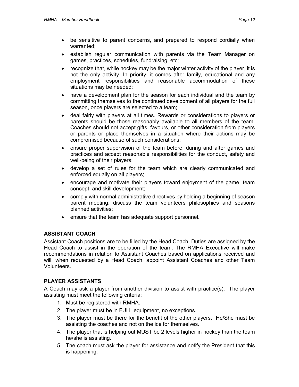- be sensitive to parent concerns, and prepared to respond cordially when warranted;
- establish regular communication with parents via the Team Manager on games, practices, schedules, fundraising, etc;
- recognize that, while hockey may be the major winter activity of the player, it is not the only activity. In priority, it comes after family, educational and any employment responsibilities and reasonable accommodation of these situations may be needed;
- have a development plan for the season for each individual and the team by committing themselves to the continued development of all players for the full season, once players are selected to a team;
- deal fairly with players at all times. Rewards or considerations to players or parents should be those reasonably available to all members of the team. Coaches should not accept gifts, favours, or other consideration from players or parents or place themselves in a situation where their actions may be compromised because of such considerations;
- ensure proper supervision of the team before, during and after games and practices and accept reasonable responsibilities for the conduct, safety and well-being of their players;
- develop a set of rules for the team which are clearly communicated and enforced equally on all players;
- encourage and motivate their players toward enjoyment of the game, team concept, and skill development;
- comply with normal administrative directives by holding a beginning of season parent meeting; discuss the team volunteers philosophies and seasons planned activities;
- ensure that the team has adequate support personnel.

#### **ASSISTANT COACH**

Assistant Coach positions are to be filled by the Head Coach. Duties are assigned by the Head Coach to assist in the operation of the team. The RMHA Executive will make recommendations in relation to Assistant Coaches based on applications received and will, when requested by a Head Coach, appoint Assistant Coaches and other Team Volunteers.

#### **PLAYER ASSISTANTS**

A Coach may ask a player from another division to assist with practice(s). The player assisting must meet the following criteria:

- 1. Must be registered with RMHA.
- 2. The player must be in FULL equipment, no exceptions.
- 3. The player must be there for the benefit of the other players. He/She must be assisting the coaches and not on the ice for themselves.
- 4. The player that is helping out MUST be 2 levels higher in hockey than the team he/she is assisting.
- 5. The coach must ask the player for assistance and notify the President that this is happening.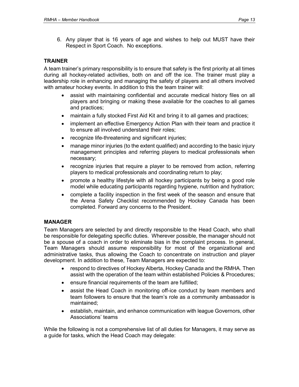6. Any player that is 16 years of age and wishes to help out MUST have their Respect in Sport Coach. No exceptions.

#### **TRAINER**

A team trainer's primary responsibility is to ensure that safety is the first priority at all times during all hockey-related activities, both on and off the ice. The trainer must play a leadership role in enhancing and managing the safety of players and all others involved with amateur hockey events. In addition to this the team trainer will:

- assist with maintaining confidential and accurate medical history files on all players and bringing or making these available for the coaches to all games and practices;
- maintain a fully stocked First Aid Kit and bring it to all games and practices;
- implement an effective Emergency Action Plan with their team and practice it to ensure all involved understand their roles;
- recognize life-threatening and significant injuries;
- manage minor injuries (to the extent qualified) and according to the basic injury management principles and referring players to medical professionals when necessary;
- recognize injuries that require a player to be removed from action, referring players to medical professionals and coordinating return to play;
- promote a healthy lifestyle with all hockey participants by being a good role model while educating participants regarding hygiene, nutrition and hydration;
- complete a facility inspection in the first week of the season and ensure that the Arena Safety Checklist recommended by Hockey Canada has been completed. Forward any concerns to the President.

#### **MANAGER**

Team Managers are selected by and directly responsible to the Head Coach, who shall be responsible for delegating specific duties. Wherever possible, the manager should not be a spouse of a coach in order to eliminate bias in the complaint process. In general, Team Managers should assume responsibility for most of the organizational and administrative tasks, thus allowing the Coach to concentrate on instruction and player development. In addition to these, Team Managers are expected to:

- respond to directives of Hockey Alberta, Hockey Canada and the RMHA. Then assist with the operation of the team within established Policies & Procedures;
- ensure financial requirements of the team are fulfilled;
- assist the Head Coach in monitoring off-ice conduct by team members and team followers to ensure that the team's role as a community ambassador is maintained;
- establish, maintain, and enhance communication with league Governors, other Associations' teams

While the following is not a comprehensive list of all duties for Managers, it may serve as a guide for tasks, which the Head Coach may delegate: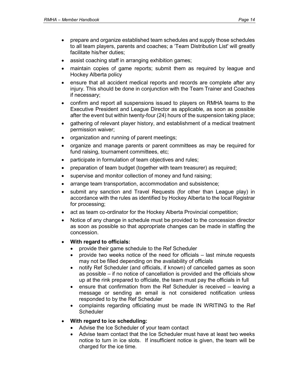- prepare and organize established team schedules and supply those schedules to all team players, parents and coaches; a 'Team Distribution List' will greatly facilitate his/her duties;
- assist coaching staff in arranging exhibition games;
- maintain copies of game reports; submit them as required by league and Hockey Alberta policy
- ensure that all accident medical reports and records are complete after any injury. This should be done in conjunction with the Team Trainer and Coaches if necessary;
- confirm and report all suspensions issued to players on RMHA teams to the Executive President and League Director as applicable, as soon as possible after the event but within twenty-four (24) hours of the suspension taking place;
- gathering of relevant player history, and establishment of a medical treatment permission waiver;
- organization and running of parent meetings;
- organize and manage parents or parent committees as may be required for fund raising, tournament committees, etc;
- participate in formulation of team objectives and rules;
- preparation of team budget (together with team treasurer) as required;
- supervise and monitor collection of money and fund raising;
- arrange team transportation, accommodation and subsistence;
- submit any sanction and Travel Requests (for other than League play) in accordance with the rules as identified by Hockey Alberta to the local Registrar for processing;
- act as team co-ordinator for the Hockey Alberta Provincial competition;
- Notice of any change in schedule must be provided to the concession director as soon as possible so that appropriate changes can be made in staffing the concession.
- **With regard to officials:**
	- provide their game schedule to the Ref Scheduler
	- provide two weeks notice of the need for officials last minute requests may not be filled depending on the availability of officials
	- notify Ref Scheduler (and officials, if known) of cancelled games as soon as possible – if no notice of cancellation is provided and the officials show up at the rink prepared to officiate, the team must pay the officials in full
	- ensure that confirmation from the Ref Scheduler is received leaving a message or sending an email is not considered notification unless responded to by the Ref Scheduler
	- complaints regarding officiating must be made IN WRITING to the Ref **Scheduler**

#### • **With regard to ice scheduling:**

- Advise the Ice Scheduler of your team contact
- Advise team contact that the Ice Scheduler must have at least two weeks notice to turn in ice slots. If insufficient notice is given, the team will be charged for the ice time.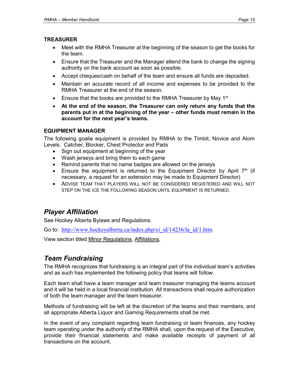#### **TREASURER**

- Meet with the RMHA Treasurer at the beginning of the season to get the books for the team.
- Ensure that the Treasurer and the Manager attend the bank to change the signing authority on the bank account as soon as possible.
- Accept cheques/cash on behalf of the team and ensure all funds are deposited.
- Maintain an accurate record of all income and expenses to be provided to the RMHA Treasurer at the end of the season.
- **•** Ensure that the books are provided to the RMHA Treasurer by May  $1^{st}$ .
- **At the end of the season, the Treasurer can only return any funds that the parents put in at the beginning of the year – other funds must remain in the account for the next year's teams.**

#### **EQUIPMENT MANAGER**

The following goalie equipment is provided by RMHA to the Timbit, Novice and Atom Levels: Catcher, Blocker, Chest Protector and Pads

- Sign out equipment at beginning of the year
- Wash jerseys and bring them to each game
- Remind parents that no name badges are allowed on the jerseys
- Ensure the equipment is returned to the Equipment Director by April  $7<sup>th</sup>$  (if necessary, a request for an extension may be made to Equipment Director)
- ADVISE TEAM THAT PLAYERS WILL NOT BE CONSIDERED REGISTERED AND WILL NOT STEP ON THE ICE THE FOLLOWING SEASON UNTIL FOUIPMENT IS RETURNED.

## *Player Affiliation*

See Hockey Alberta Bylaws and Regulations.

Go to: [http://www.hockeyalberta.ca/index.php/ci\\_id/14236/la\\_id/1.htm](http://www.hockeyalberta.ca/index.php/ci_id/14236/la_id/1.htm).

View section titled Minor Regulations, Affiliations.

## *Team Fundraising*

The RMHA recognizes that fundraising is an integral part of the individual team's activities and as such has implemented the following policy that teams will follow.

Each team shall have a team manager and team treasurer managing the teams account and it will be held in a local financial institution. All transactions shall require authorization of both the team manager and the team treasurer.

Methods of fundraising will be left at the discretion of the teams and their members, and all appropriate Alberta Liquor and Gaming Requirements shall be met.

In the event of any complaint regarding team fundraising or team finances, any hockey team operating under the authority of the RMHA shall, upon the request of the Executive, provide their financial statements and make available receipts of payment of all transactions on the account.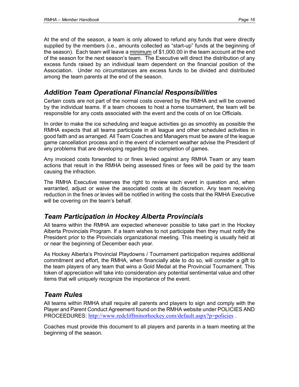At the end of the season, a team is only allowed to refund any funds that were directly supplied by the members (i.e., amounts collected as "start-up" funds at the beginning of the season). Each team will leave a minimum of \$1,000.00 in the team account at the end of the season for the next season's team. The Executive will direct the distribution of any excess funds raised by an individual team dependent on the financial position of the Association. Under no circumstances are excess funds to be divided and distributed among the team parents at the end of the season.

## *Addition Team Operational Financial Responsibilities*

Certain costs are not part of the normal costs covered by the RMHA and will be covered by the individual teams. If a team chooses to host a home tournament, the team will be responsible for any costs associated with the event and the costs of on Ice Officials.

In order to make the ice scheduling and league activities go as smoothly as possible the RMHA expects that all teams participate in all league and other scheduled activities in good faith and as arranged. All Team Coaches and Managers must be aware of the league game cancellation process and in the event of inclement weather advise the President of any problems that are developing regarding the completion of games.

Any invoiced costs forwarded to or fines levied against any RMHA Team or any team actions that result in the RMHA being assessed fines or fees will be paid by the team causing the infraction.

The RMHA Executive reserves the right to review each event in question and, when warranted, adjust or waive the associated costs at its discretion. Any team receiving reduction in the fines or levies will be notified in writing the costs that the RMHA Executive will be covering on the team's behalf.

## *Team Participation in Hockey Alberta Provincials*

All teams within the RMHA are expected whenever possible to take part in the Hockey Alberta Provincials Program. If a team wishes to not participate then they must notify the President prior to the Provincials organizational meeting. This meeting is usually held at or near the beginning of December each year.

As Hockey Alberta's Provincial Playdowns / Tournament participation requires additional commitment and effort, the RMHA, when financially able to do so, will consider a gift to the team players of any team that wins a Gold Medal at the Provincial Tournament. This token of appreciation will take into consideration any potential sentimental value and other items that will uniquely recognize the importance of the event.

## *Team Rules*

All teams within RMHA shall require all parents and players to sign and comply with the Player and Parent Conduct Agreement found on the RMHA website under POLICIES AND PROCEEDURES: <http://www.redcliffminorhockey.com/default.aspx?p=policies> .

Coaches must provide this document to all players and parents in a team meeting at the beginning of the season.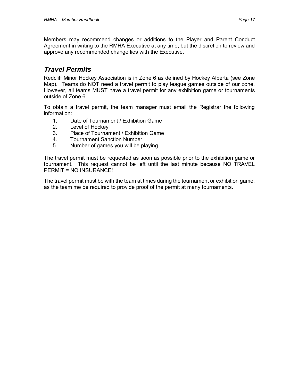Members may recommend changes or additions to the Player and Parent Conduct Agreement in writing to the RMHA Executive at any time, but the discretion to review and approve any recommended change lies with the Executive.

## *Travel Permits*

Redcliff Minor Hockey Association is in Zone 6 as defined by Hockey Alberta (see Zone Map). Teams do NOT need a travel permit to play league games outside of our zone. However, all teams MUST have a travel permit for any exhibition game or tournaments outside of Zone 6.

To obtain a travel permit, the team manager must email the Registrar the following information:

- 1. Date of Tournament / Exhibition Game
- 2. Level of Hockey
- 3. Place of Tournament / Exhibition Game
- 4. Tournament Sanction Number
- 5. Number of games you will be playing

The travel permit must be requested as soon as possible prior to the exhibition game or tournament. This request cannot be left until the last minute because NO TRAVEL PERMIT = NO INSURANCE!

The travel permit must be with the team at times during the tournament or exhibition game, as the team me be required to provide proof of the permit at many tournaments.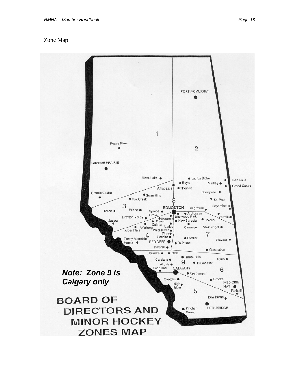#### Zone Map

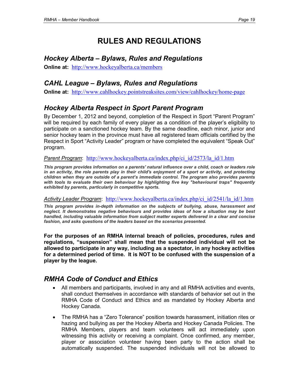## **RULES AND REGULATIONS**

## *Hockey Alberta – Bylaws, Rules and Regulations*

**Online at:** <http://www.hockeyalberta.ca/members>

## *CAHL League – Bylaws, Rules and Regulations*

**Online at:** <http://www.cahlhockey.pointstreaksites.com/view/cahlhockey/home-page>

## *Hockey Alberta Respect in Sport Parent Program*

By December 1, 2012 and beyond, completion of the Respect in Sport "Parent Program" will be required by each family of every player as a condition of the player's eligibility to participate on a sanctioned hockey team. By the same deadline, each minor, junior and senior hockey team in the province must have all registered team officials certified by the Respect in Sport "Activity Leader" program or have completed the equivalent "Speak Out" program.

#### *Parent Program*: [http://www.hockeyalberta.ca/index.php/ci\\_id/2573/la\\_id/1.htm](http://www.hockeyalberta.ca/index.php/ci_id/2573/la_id/1.htm)

*This program provides information on a parents' natural influence over a child, coach or leaders role*  in an activity, the role parents play in their child's enjoyment of a sport or activity, and protecting *children when they are outside of a parent's immediate control. The program also provides parents with tools to evaluate their own behaviour by highlighting five key "behavioural traps" frequently exhibited by parents, particularly in competitive sports.*

#### *Activity Leader Program*: [http://www.hockeyalberta.ca/index.php/ci\\_id/2541/la\\_id/1.htm](http://www.hockeyalberta.ca/index.php/ci_id/2541/la_id/1.htm)

*This program provides in-depth information on the subjects of bullying, abuse, harassment and neglect. It demonstrates negative behaviours and provides ideas of how a situation may be best handled, including valuable information from subject matter experts delivered in a clear and concise fashion, and asks questions of the leaders based on the scenarios presented.*

**For the purposes of an RMHA internal breach of policies, procedures, rules and regulations, "suspension" shall mean that the suspended individual will not be allowed to participate in any way, including as a spectator, in any hockey activities for a determined period of time. It is NOT to be confused with the suspension of a player by the league.**

## *RMHA Code of Conduct and Ethics*

- All members and participants, involved in any and all RMHA activities and events, shall conduct themselves in accordance with standards of behavior set out in the RMHA Code of Conduct and Ethics and as mandated by Hockey Alberta and Hockey Canada.
- The RMHA has a "Zero Tolerance" position towards harassment, initiation rites or hazing and bullying as per the Hockey Alberta and Hockey Canada Policies. The RMHA Members, players and team volunteers will act immediately upon witnessing this activity or receiving a complaint. Once confirmed, any member, player or association volunteer having been party to the action shall be automatically suspended. The suspended individuals will not be allowed to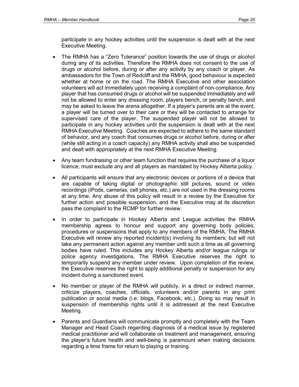participate in any hockey activities until the suspension is dealt with at the next Executive Meeting.

- The RMHA has a "Zero Tolerance" position towards the use of drugs or alcohol during any of its activities. Therefore the RMHA does not consent to the use of drugs or alcohol before, during or after any activity by any coach or player. As ambassadors for the Town of Redcliff and the RMHA, good behaviour is expected whether at home or on the road. The RMHA Executive and other association volunteers will act immediately upon receiving a complaint of non-compliance. Any player that has consumed drugs or alcohol will be suspended immediately and will not be allowed to enter any dressing room, players bench, or penalty bench, and may be asked to leave the arena altogether. If a player's parents are at the event, a player will be turned over to their care or they will be contacted to arrange for supervised care of the player. The suspended player will not be allowed to participate in any hockey activities until the suspension is dealt with at the next RMHA Executive Meeting. Coaches are expected to adhere to the same standard of behavior, and any coach that consumes drugs or alcohol before, during or after (while still acting in a coach capacity) any RMHA activity shall also be suspended and dealt with appropriately at the next RMHA Executive Meeting.
- Any team fundraising or other team function that requires the purchase of a liquor licence, must exclude any and all players as mandated by Hockey Alberta policy.
- All participants will ensure that any electronic devices or portions of a device that are capable of taking digital or photographic still pictures, sound or video recordings (iPods, cameras, cell phones, etc.) are not used in the dressing rooms at any time. Any abuse of this policy will result in a review by the Executive for further action and possible suspension, and the Executive may at its discretion pass the complaint to the RCMP for further review.
- In order to participate in Hockey Alberta and League activities the RMHA membership agrees to honour and support any governing body policies, procedures or suspensions that apply to any members of the RMHA. The RMHA Executive will review any reported incident(s) involving its members; but will not take any permanent action against any member until such a time as all governing bodies have ruled. This includes any Hockey Alberta and/or league rulings or police agency investigations. The RMHA Executive reserves the right to temporarily suspend any member under review. Upon completion of the review, the Executive reserves the right to apply additional penalty or suspension for any incident during a sanctioned event.
- No member or player of the RMHA will publicly, in a direct or indirect manner, criticize players, coaches, officials, volunteers and/or parents in any print publication or social media (i.e. blogs, Facebook, etc.). Doing so may result in suspension of membership rights until it is addressed at the next Executive Meeting.
- Parents and Guardians will communicate promptly and completely with the Team Manager and Head Coach regarding diagnosis of a medical issue by registered medical practitioner and will collaborate on treatment and management, ensuring the player's future health and well-being is paramount when making decisions regarding a time frame for return to playing or training.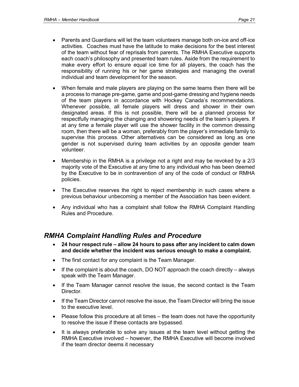- Parents and Guardians will let the team volunteers manage both on-ice and off-ice activities. Coaches must have the latitude to make decisions for the best interest of the team without fear of reprisals from parents. The RMHA Executive supports each coach's philosophy and presented team rules. Aside from the requirement to make every effort to ensure equal ice time for all players, the coach has the responsibility of running his or her game strategies and managing the overall individual and team development for the season.
- When female and male players are playing on the same teams then there will be a process to manage pre-game, game and post-game dressing and hygiene needs of the team players in accordance with Hockey Canada's recommendations. Whenever possible, all female players will dress and shower in their own designated areas. If this is not possible, there will be a planned process for respectfully managing the changing and showering needs of the team's players. If at any time a female player will use the shower facility in the common dressing room, then there will be a woman, preferably from the player's immediate family to supervise this process. Other alternatives can be considered as long as one gender is not supervised during team activities by an opposite gender team volunteer.
- Membership in the RMHA is a privilege not a right and may be revoked by a 2/3 majority vote of the Executive at any time to any individual who has been deemed by the Executive to be in contravention of any of the code of conduct or RMHA policies.
- The Executive reserves the right to reject membership in such cases where a previous behaviour unbecoming a member of the Association has been evident.
- Any individual who has a complaint shall follow the RMHA Complaint Handling Rules and Procedure.

## *RMHA Complaint Handling Rules and Procedure*

- **24 hour respect rule – allow 24 hours to pass after any incident to calm down and decide whether the incident was serious enough to make a complaint.**
- The first contact for any complaint is the Team Manager.
- If the complaint is about the coach, DO NOT approach the coach directly always speak with the Team Manager.
- If the Team Manager cannot resolve the issue, the second contact is the Team Director.
- If the Team Director cannot resolve the issue, the Team Director will bring the issue to the executive level.
- Please follow this procedure at all times the team does not have the opportunity to resolve the issue if these contacts are bypassed.
- It is always preferable to solve any issues at the team level without getting the RMHA Executive involved – however, the RMHA Executive will become involved if the team director deems it necessary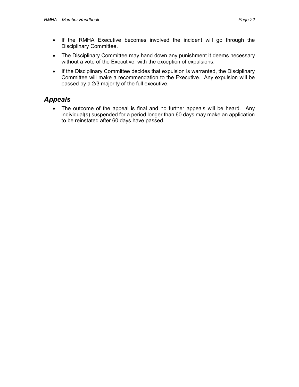- If the RMHA Executive becomes involved the incident will go through the Disciplinary Committee.
- The Disciplinary Committee may hand down any punishment it deems necessary without a vote of the Executive, with the exception of expulsions.
- If the Disciplinary Committee decides that expulsion is warranted, the Disciplinary Committee will make a recommendation to the Executive. Any expulsion will be passed by a 2/3 majority of the full executive.

### *Appeals*

• The outcome of the appeal is final and no further appeals will be heard. Any individual(s) suspended for a period longer than 60 days may make an application to be reinstated after 60 days have passed.